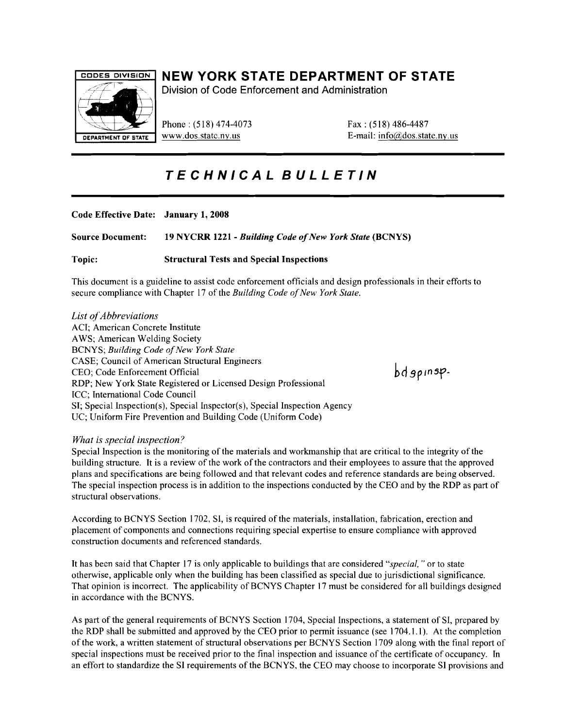

## CODES DIVISION **NEW YORK STATE DEPARTMENT OF STATE**

Division of Code Enforcement and Administration

Phone: (518) 474-4073 Fax: (518) 486-4487

DEPARTMENT OF STATE WWW.dos.state.ny.us  $E$ -mail: info( $\hat{\omega}$ dos.state.ny.us

# **TECHNICAL BULLETIN**

| Code Effective Date: January 1, 2008 |                                                         |
|--------------------------------------|---------------------------------------------------------|
| <b>Source Document:</b>              | 19 NYCRR 1221 - Building Code of New York State (BCNYS) |
| Topic:                               | <b>Structural Tests and Special Inspections</b>         |

This document is a guideline to assist code enforcement officials and design professionals in their efforts to secure compliance with Chapter 17 of the *Building Code of New York State*.

*List ofAbbreviations*  ACI; American Concrete Institute AWS; American Welding Society BCNYS; *Building Code of New York State* CASE; Council of American Structural Engineers CEO; Code Enforcement Official RDP; New York State Registered or Licensed Design Professional ICC; International Code Council SI; Special Inspection(s), Special Inspector(s), Special Inspection Agency UC; Uniform Fire Prevention and Building Code (Uniform Code)

## *What* is *special inspection?*

Special Inspection is the monitoring of the materials and workmanship that are critical to the integrity of the building structure. It is a review of the work of the contractors and their employees to assure that the approved plans and specifications are being followed and that relevant codes and reference standards are being observed. The special inspection process is in addition to the inspections conducted by the CEO and by the RDP as part of structural observations.

According to BCNYS Section 1702, Sl, is required of the materials, installation, fabrication, erection and placement of components and connections requiring special expertise to ensure compliance with approved construction documents and referenced standards.

It has been said that Chapter 17 is only applicable to buildings that are considered *"special,* " or to state otherwise, applicable only when the building has been classified as special due to jurisdictional significance. That opinion is incorrect. The applicability of BCNYS Chapter 17 must be considered for all buildings designed in accordance with the BCNYS.

As part of the general requirements of BCNYS Section 1704, Special Inspections, a statement of Sl, prepared by the RDP shall be submitted and approved by the CEO prior to permit issuance (see 1704.1.1). At the completion of the work, a written statement of structural observations per BCNYS Section 1709 along with the final report of special inspections must be received prior to the final inspection and issuance of the certificate of occupancy. In an effort to standardize the Sl requirements of the BCNYS, the CEO may choose to incorporate Sl provisions and

 $bdgprsp-$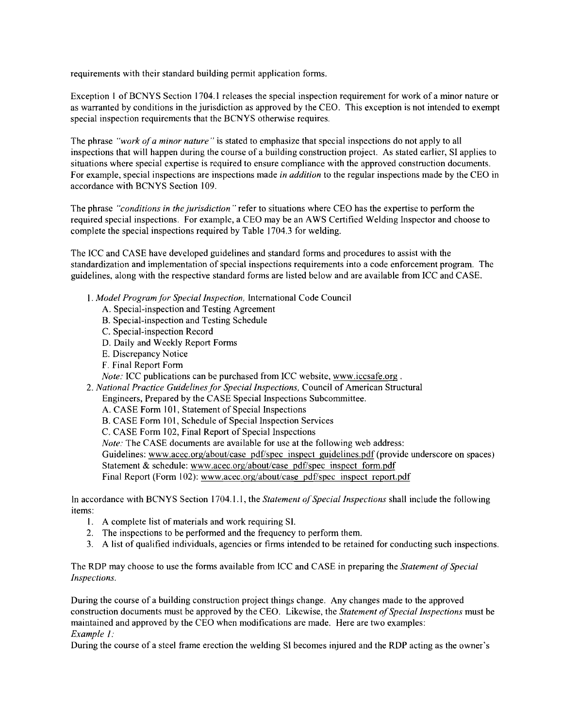requirements with their standard building permit application forms.

Exception I of BCNYS Section 1704.1 releases the special inspection requirement for work of a minor nature or as warranted by conditions in the jurisdiction as approved by the CEO. This exception is not intended to exempt special inspection requirements that the BCNYS otherwise requires.

The phrase *"work ofa minor nature"* is stated to emphasize that special inspections do not apply to all inspections that will happen during the course of a building construction project. As stated earlier, SI applies to situations where special expertise is required to ensure compliance with the approved construction documents. For example, special inspections are inspections made *in addition* to the regular inspections made by the CEO in accordance with BCNYS Section 109.

The phrase *"conditions in the jurisdiction"* refer to situations where CEO has the expertise to perform the required special inspections. For example, a CEO may be an AWS Certified Welding Inspector and choose to complete the special inspections required by Table 1704.3 for welding.

The ICC and CASE have developed guidelines and standard forms and procedures to assist with the standardization and implementation of special inspections requirements into a code enforcement program. The guidelines, along with the respective standard forms are listed below and are available from ICC and CASE.

- I. *Model Program for Special Inspection,* International Code Council
	- A. Special-inspection and Testing Agreement
	- B. Special-inspection and Testing Schedule
	- C. Special-inspection Record
	- D. Daily and Weekly Report Forms
	- E. Discrepancy Notice
	- F. Final Report Form

*Note:* ICC publications can be purchased from ICC website, www.iccsafe.org .

2. National Practice Guidelines for Special Inspections, Council of American Structural

Engineers, Prepared by the CASE Special Inspections Subcommittee.

- A. CASE Form 101, Statement of Special Inspections
- B. CASE Form 101, Schedule of Special Inspection Services
- C. CASE Form 102, Final Report of Special Inspections

*Note:* The CASE documents are available for use at the following web address:

Guidelines: www.acec.org/about/case pdf/spec inspect guidelines.pdf (provide underscore on spaces) Statement & schedule: www.acec.org/about/case pdf/spec inspect form. pdf

Final Report (Form 102): www.acec.org/about/case pdf/spec inspect report.pdf

In accordance with BCNYS Section 1704.1.1, the *Statement o{Special Inspections* shall include the following items:

- I. A complete list of materials and work requiring Sl.
- 2. The inspections to be performed and the frequency to perform them.
- 3. A list of qualified individuals, agencies or firms intended to be retained for conducting such inspections.

The RDP may choose to use the forms available from ICC and CASE in preparing the *Statement q{Special Inspections.* 

During the course of a building construction project things change. Any changes made to the approved construction documents must be approved by the CEO. Likewise, the *Statement ofSpecial Inspections* must be maintained and approved by the CEO when modifications are made. Here are two examples: *Example 1:* 

During the course of a steel frame erection the welding Sl becomes injured and the RDP acting as the owner's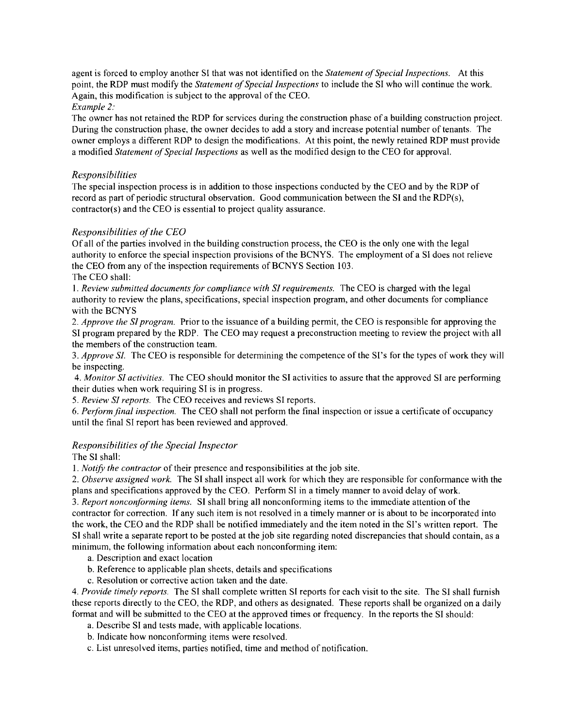agent is forced to employ another SI that was not identified on the *Statement of Special Inspections*. At this point, the RDP must modify the *Statement of Special Inspections* to include the SI who will continue the work. Again, this modification is subject to the approval of the CEO.

### *Example 2:*

The owner has not retained the RDP for services during the construction phase of a building construction project. During the construction phase. the owner decides to add a story and increase potential number of tenants. The owner employs a different RDP to design the modifications. At this point, the newly retained RDP must provide a modified *Statement ofSpecial Inspections* as well as the modified design to the CEO for approval.

### *Responsibilities*

The special inspection process is in addition to those inspections conducted by the CEO and by the RDP of record as part of periodic structural observation. Good communication between the SI and the RDP(s), contractor(s) and the CEO is essential to project quality assurance.

### *Responsibilities ofthe CEO*

Of all of the parties involved in the building construction process, the CEO is the only one with the legal authority to enforce the special inspection provisions of the BCNYS. The employment of a SI does not relieve the CEO from any of the inspection requirements of BCNYS Section 103.

The CEO shall:

*1. Review submitted documents for compliance with SI requirements.* The CEO is charged with the legal authority to review the plans, specifications, special inspection program, and other documents for compliance with the BCNYS

*2. Approve the SI program.* Prior to the issuance of a building permit, the CEO is responsible for approving the SI program prepared by the RDP. The CEO may request a preconstruction meeting to review the project with all the members of the construction team.

*3. Approve Sf.* The CEO is responsible for determining the competence of the SI's for the types of work they will be inspecting.

*4. Monitor SI activities.* The CEO should monitor the SI activities to assure that the approved SI are performing their duties when work requiring SI is in progress.

*5. Review SI reports.* The CEO receives and reviews SI reports.

*6. Perform final inspection.* The CEO shall not perform the final inspection or issue a certificate of occupancy until the final SI report has been reviewed and approved.

## *Responsibilities ofthe Special Inspector*

The SI shall:

I. *NotifY the contractor* of their presence and responsibilities at the job site.

*2. Observe assigned work.* The SI shall inspect all work for which they are responsible for conformance with the plans and specifications approved by the CEO. Perform SI in a timely manner to avoid delay of work.

*3. Report nonconforming items.* SI shall bring all nonconforming items to the immediate attention of the contractor for correction. If any such item is not resolved in a timely manner or is about to be incorporated into the work, the CEO and the RDP shall be notified immediately and the item noted in the SI's written report. The SI shall write a separate report to be posted at the job site regarding noted discrepancies that should contain, as a minimum, the following information about each nonconforming item:

a. Description and exact location

- b. Reference to applicable plan sheets, details and specifications
- c. Resolution or corrective action taken and the date.

*4. Provide timely reports.* The SI shall complete written SI reports for each visit to the site. The SI shall furnish these reports directly to the CEO, the RDP, and others as designated. These reports shall be organized on a daily format and will be submitted to the CEO at the approved times or frequency. In the reports the SI should:

a. Describe SI and tests made, with applicable locations.

b. Indicate how nonconforming items were resolved.

c. List unresolved items, parties notified, time and method of notification.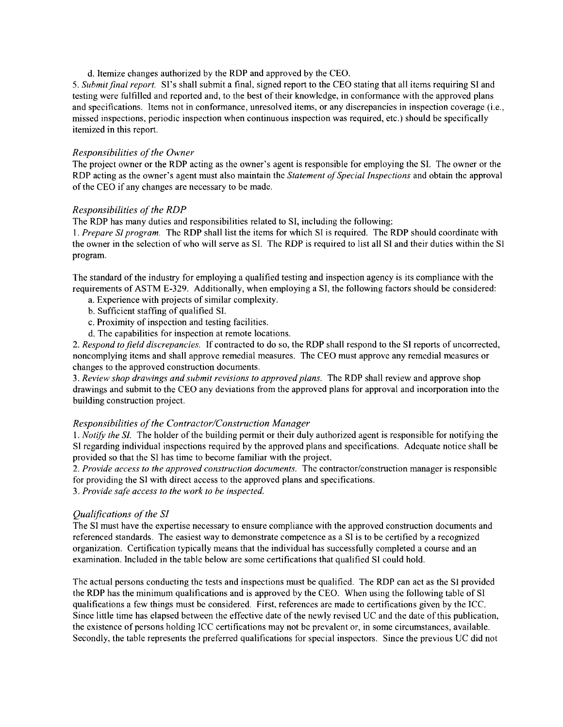d. Itemize changes authorized by the RDP and approved by the CEO.

*5. Submitflnal report.* SI's shall submit a final, signed report to the CEO stating that all items requiring SI and testing were fulfilled and reported and, to the best of their knowledge, in conformance with the approved plans and specifications. Items not in conformance, unresolved items, or any discrepancies in inspection coverage (i.e., missed inspections, periodic inspection when continuous inspection was required, etc.) should be specifically itemized in this report.

#### *Responsibilities of the Owner*

The project owner or the RDP acting as the owner's agent is responsible for employing the SI. The owner or the RDP acting as the owner's agent must also maintain the *Statement of Special Inspections* and obtain the approval of the CEO if any changes are necessary to be made.

#### **Responsibilities of the RDP**

The RDP has many duties and responsibilities related to SI, including the following:

*1. Prepare Sf program.* The RDP shall list the items for which SI is required. The RDP should coordinate with the owner in the selection of who will serve as SI. The RDP is required to list all SI and their duties within the Sl program.

The standard of the industry for employing a qualified testing and inspection agency is its compliance with the requirements of ASTM E-329. Additionally, when employing a SI, the following factors should be considered:

- a. Experience with projects of similar complexity.
- b. Sufficient staffing of qualified SI.
- c. Proximity of inspection and testing facilities.
- d. The capabilities for inspection at remote locations.

*2. Respond to field discrepancies.* If contracted to do so, the RDP shall respond to the SI reports of uncorrected, noncomplying items and shall approve remedial measures. The CEO must approve any remedial measures or changes to the approved construction documents.

*3. Review shop drawings and submit revisions to approved plans.* The RDP shall review and approve shop drawings and submit to the CEO any deviations from the approved plans for approval and incorporation into the building construction project.

#### *Responsibilities of the Contractor/Construction Manager*

*1. Notify the Sf.* The holder of the building permit or their duly authorized agent is responsible for notifying the SI regarding individual inspections required by the approved plans and specifications. Adequate notice shall be provided so that the SI has time to become familiar with the project.

*2. Provide access to the approved construction documents.* The contractor/construction manager is responsible for providing the SI with direct access to the approved plans and specifications.

*3. Provide safe access to the work to be inspected.* 

#### *Qualifications of the SI*

The SI must have the expertise necessary to ensure compliance with the approved construction documents and referenced standards. The easiest way to demonstrate competence as a SI is to be certified by a recognized organization. Certification typically means that the individual has successfully completed a course and an examination. Included in the table below are some certifications that qualified Sl could hold.

The actual persons conducting the tests and inspections must be qualified. The RDP can act as the Sl provided the RDP has the minimum qualifications and is approved by the CEO. When using the following table of SI qualifications a few things must be considered. First, references are made to certifications given by the ICC. Since little time has elapsed between the effective date of the newly revised DC and the date of this publication, the existence of persons holding ICC certifications may not be prevalent or, in some circumstances, available. Secondly, the table represents the preferred qualifications for special inspectors. Since the previous UC did not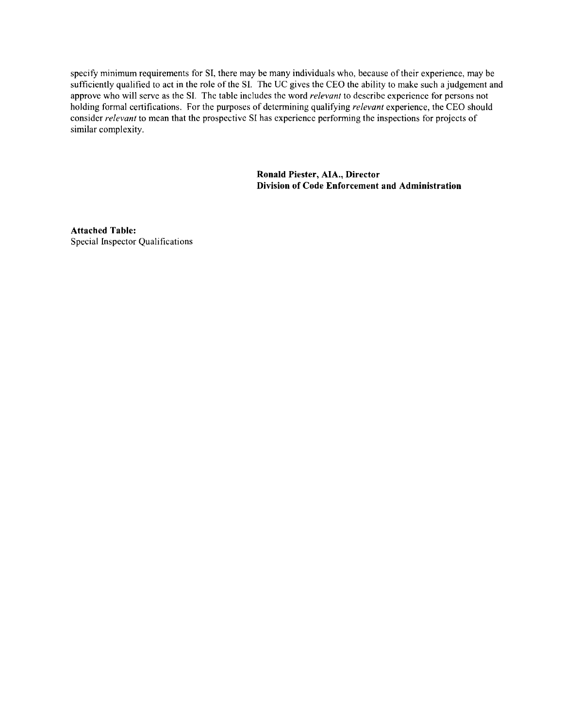specify minimum requirements for SI, there may be many individuals who, because of their experience, may be sufficiently qualified to act in the role of the SI. The UC gives the CEO the ability to make such a judgement and approve who will serve as the SI. The table includes the word *relevant* to describe experience for persons not holding formal certifications. For the purposes of detennining qualifying *relevant* experience, the CEO should consider *relevant* to mean that the prospective SI has experience perfonning the inspections for projects of similar complexity.

> **Ronald Piester, AlA., Director Division of Code Enforcement and Administration**

**Attached Table:**  Special Inspector Qualifications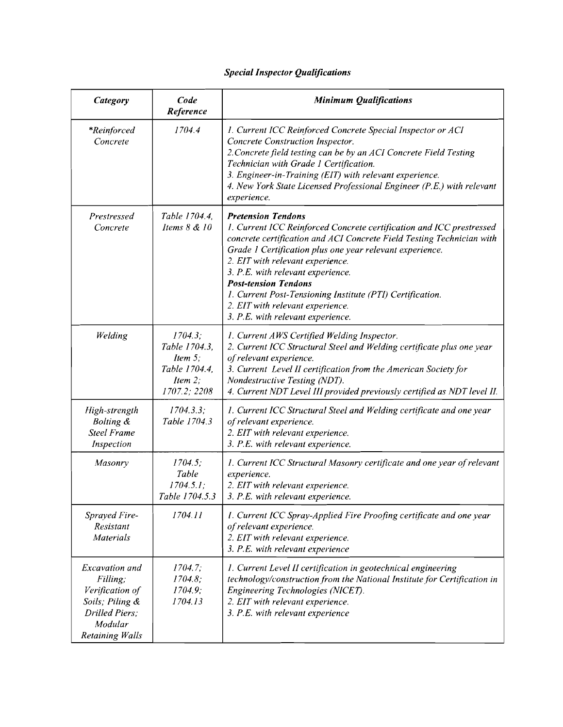## *Special Inspector Qualifications*

| Category                                                                                                         | Code<br>Reference                                                                     | <b>Minimum Qualifications</b>                                                                                                                                                                                                                                                                                                                                                                                                                                                        |
|------------------------------------------------------------------------------------------------------------------|---------------------------------------------------------------------------------------|--------------------------------------------------------------------------------------------------------------------------------------------------------------------------------------------------------------------------------------------------------------------------------------------------------------------------------------------------------------------------------------------------------------------------------------------------------------------------------------|
| <i>*Reinforced</i><br>Concrete                                                                                   | 1704.4                                                                                | 1. Current ICC Reinforced Concrete Special Inspector or ACI<br>Concrete Construction Inspector.<br>2. Concrete field testing can be by an ACI Concrete Field Testing<br>Technician with Grade 1 Certification.<br>3. Engineer-in-Training (EIT) with relevant experience.<br>4. New York State Licensed Professional Engineer (P.E.) with relevant<br>experience.                                                                                                                    |
| Prestressed<br>Concrete                                                                                          | Table 1704.4,<br>Items 8 & 10                                                         | <b>Pretension Tendons</b><br>1. Current ICC Reinforced Concrete certification and ICC prestressed<br>concrete certification and ACI Concrete Field Testing Technician with<br>Grade 1 Certification plus one year relevant experience.<br>2. EIT with relevant experience.<br>3. P.E. with relevant experience.<br><b>Post-tension Tendons</b><br>1. Current Post-Tensioning Institute (PTI) Certification.<br>2. EIT with relevant experience.<br>3. P.E. with relevant experience. |
| Welding                                                                                                          | 1704.3;<br>Table 1704.3,<br>Item $5$ ;<br>Table 1704.4,<br>Item $2$ ;<br>1707.2; 2208 | 1. Current AWS Certified Welding Inspector.<br>2. Current ICC Structural Steel and Welding certificate plus one year<br>of relevant experience.<br>3. Current Level II certification from the American Society for<br>Nondestructive Testing (NDT).<br>4. Current NDT Level III provided previously certified as NDT level II.                                                                                                                                                       |
| High-strength<br><b>Bolting &amp;</b><br><b>Steel Frame</b><br>Inspection                                        | 1704.3.3;<br>Table 1704.3                                                             | 1. Current ICC Structural Steel and Welding certificate and one year<br>of relevant experience.<br>2. EIT with relevant experience.<br>3. P.E. with relevant experience.                                                                                                                                                                                                                                                                                                             |
| Masonry                                                                                                          | 1704.5;<br>Table<br>1704.5.1;<br>Table 1704.5.3                                       | 1. Current ICC Structural Masonry certificate and one year of relevant<br>experience.<br>2. EIT with relevant experience.<br>3. P.E. with relevant experience.                                                                                                                                                                                                                                                                                                                       |
| <b>Sprayed Fire-</b><br>Resistant<br><b>Materials</b>                                                            | 1704.11                                                                               | I. Current ICC Spray-Applied Fire Proofing certificate and one year<br>of relevant experience.<br>2. EIT with relevant experience.<br>3. P.E. with relevant experience                                                                                                                                                                                                                                                                                                               |
| Excavation and<br>Filling;<br>Verification of<br>Soils; Piling &<br>Drilled Piers;<br>Modular<br>Retaining Walls | 1704.7;<br>1704.8;<br>1704.9;<br>1704.13                                              | 1. Current Level II certification in geotechnical engineering<br>technology/construction from the National Institute for Certification in<br>Engineering Technologies (NICET).<br>2. EIT with relevant experience.<br>3. P.E. with relevant experience                                                                                                                                                                                                                               |